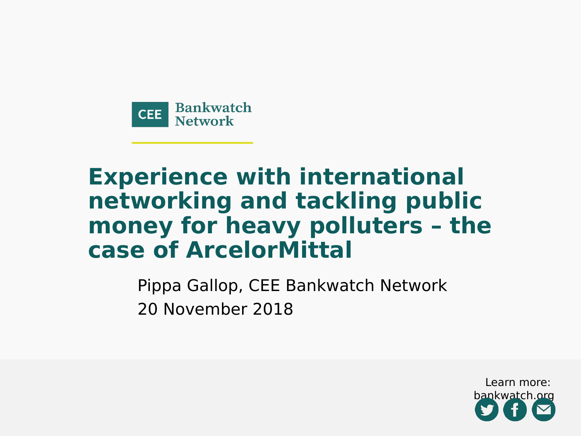

### **Experience with international networking and tackling public money for heavy polluters – the case of ArcelorMittal**

Pippa Gallop, CEE Bankwatch Network 20 November 2018

> Learn more: bankwatch.org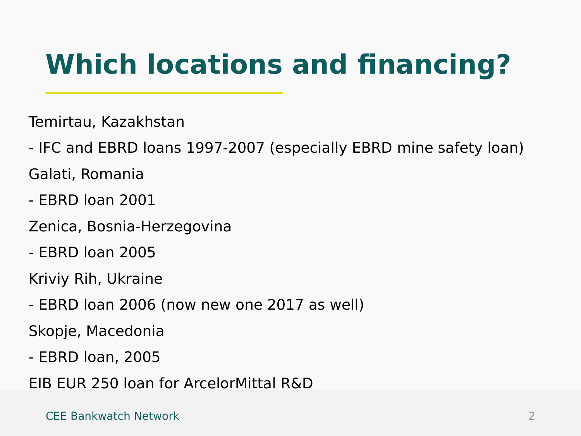### **Which locations and financing?**

Temirtau, Kazakhstan

- IFC and EBRD loans 1997-2007 (especially EBRD mine safety loan) Galati, Romania

- EBRD loan 2001
- Zenica, Bosnia-Herzegovina
- EBRD loan 2005

Kriviy Rih, Ukraine

- EBRD loan 2006 (now new one 2017 as well)

Skopje, Macedonia

- EBRD loan, 2005

EIB EUR 250 loan for ArcelorMittal R&D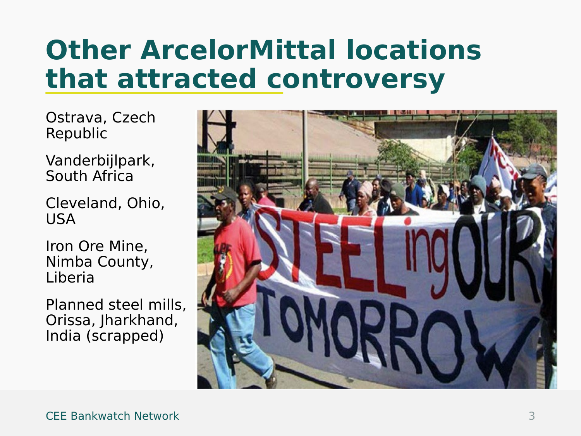### **Other ArcelorMittal locations that attracted controversy**

Ostrava, Czech Republic

Vanderbijlpark, South Africa

Cleveland, Ohio, USA

Iron Ore Mine, Nimba County, Liberia

Planned steel mills, Orissa, Jharkhand, India (scrapped)

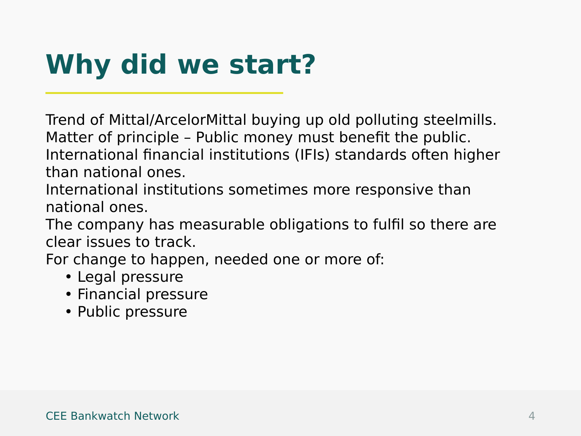### **Why did we start?**

Trend of Mittal/ArcelorMittal buying up old polluting steelmills. Matter of principle – Public money must benefit the public. International financial institutions (IFIs) standards often higher than national ones.

International institutions sometimes more responsive than national ones.

The company has measurable obligations to fulfil so there are clear issues to track.

For change to happen, needed one or more of:

- Legal pressure
- Financial pressure
- Public pressure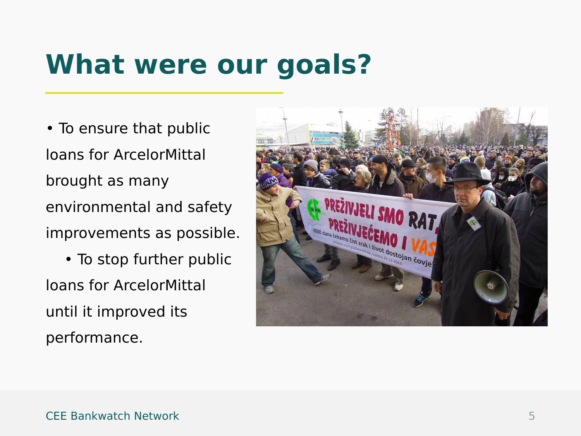### **What were our goals?**

• To ensure that public loans for ArcelorMittal brought as many environmental and safety improvements as possible.

 • To stop further public loans for ArcelorMittal until it improved its performance.

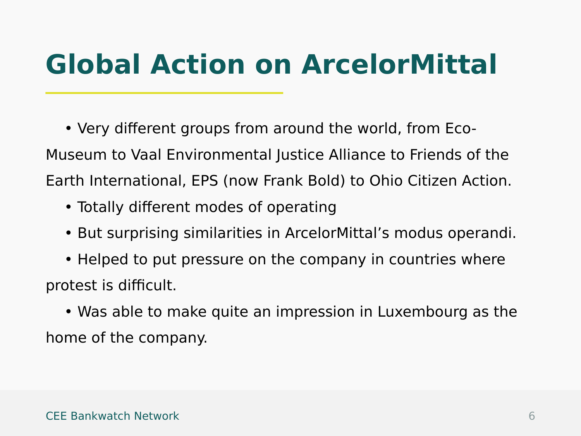### **Global Action on ArcelorMittal**

 • Very different groups from around the world, from Eco-Museum to Vaal Environmental Justice Alliance to Friends of the Earth International, EPS (now Frank Bold) to Ohio Citizen Action.

- Totally different modes of operating
- But surprising similarities in ArcelorMittal's modus operandi.
- Helped to put pressure on the company in countries where protest is difficult.
- Was able to make quite an impression in Luxembourg as the home of the company.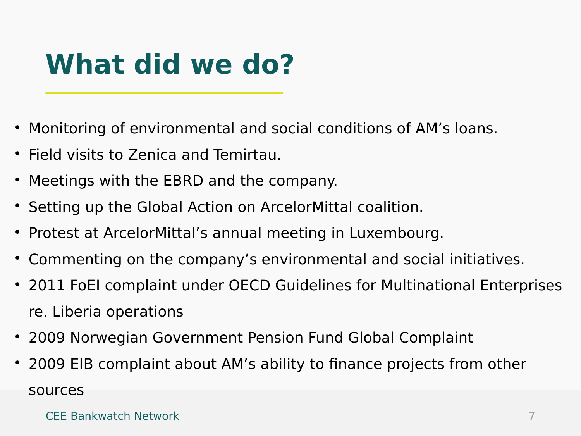### **What did we do?**

- Monitoring of environmental and social conditions of AM's loans.
- Field visits to Zenica and Temirtau.
- Meetings with the EBRD and the company.
- Setting up the Global Action on ArcelorMittal coalition.
- Protest at ArcelorMittal's annual meeting in Luxembourg.
- Commenting on the company's environmental and social initiatives.
- 2011 FoEI complaint under OECD Guidelines for Multinational Enterprises re. Liberia operations
- 2009 Norwegian Government Pension Fund Global Complaint
- 2009 EIB complaint about AM's ability to finance projects from other sources

#### CEE Bankwatch Network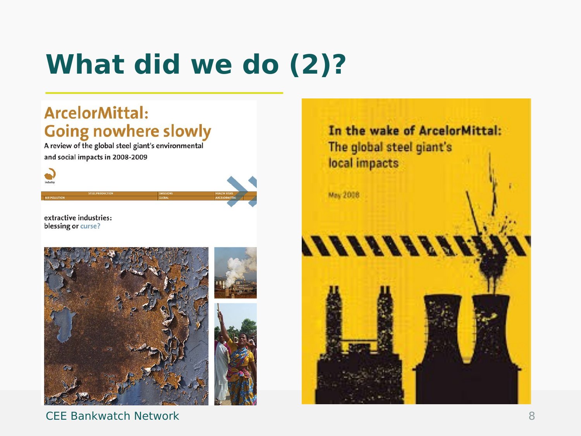# **What did we do (2)?**

### **ArcelorMittal: Going nowhere slowly**

A review of the global steel giant's environmental and social impacts in 2008-2009



extractive industries: blessing or curse?



CEE Bankwatch Network

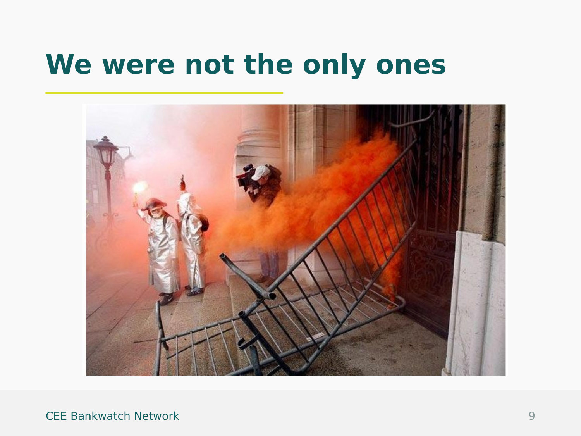### **We were not the only ones**



CEE Bankwatch Network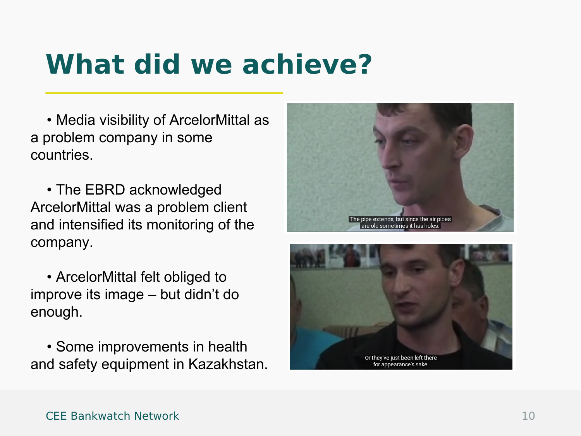### **What did we achieve?**

 • Media visibility of ArcelorMittal as a problem company in some countries.

 • The EBRD acknowledged ArcelorMittal was a problem client and intensified its monitoring of the company.

 • ArcelorMittal felt obliged to improve its image – but didn't do enough.

 • Some improvements in health and safety equipment in Kazakhstan.